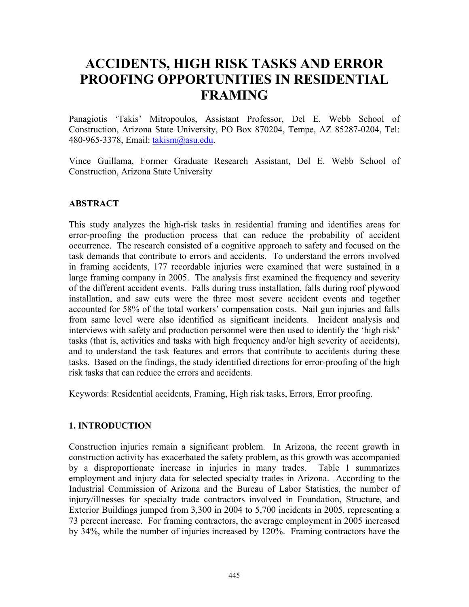# **ACCIDENTS, HIGH RISK TASKS AND ERROR PROOFING OPPORTUNITIES IN RESIDENTIAL FRAMING**

Panagiotis 'Takis' Mitropoulos, Assistant Professor, Del E. Webb School of Construction, Arizona State University, PO Box 870204, Tempe, AZ 85287-0204, Tel: 480-965-3378, Email: takism@asu.edu.

Vince Guillama, Former Graduate Research Assistant, Del E. Webb School of Construction, Arizona State University

## **ABSTRACT**

This study analyzes the high-risk tasks in residential framing and identifies areas for error-proofing the production process that can reduce the probability of accident occurrence. The research consisted of a cognitive approach to safety and focused on the task demands that contribute to errors and accidents. To understand the errors involved in framing accidents, 177 recordable injuries were examined that were sustained in a large framing company in 2005. The analysis first examined the frequency and severity of the different accident events. Falls during truss installation, falls during roof plywood installation, and saw cuts were the three most severe accident events and together accounted for 58% of the total workers' compensation costs. Nail gun injuries and falls from same level were also identified as significant incidents. Incident analysis and interviews with safety and production personnel were then used to identify the 'high risk' tasks (that is, activities and tasks with high frequency and/or high severity of accidents), and to understand the task features and errors that contribute to accidents during these tasks. Based on the findings, the study identified directions for error-proofing of the high risk tasks that can reduce the errors and accidents.

Keywords: Residential accidents, Framing, High risk tasks, Errors, Error proofing.

## **1. INTRODUCTION**

Construction injuries remain a significant problem. In Arizona, the recent growth in construction activity has exacerbated the safety problem, as this growth was accompanied by a disproportionate increase in injuries in many trades. Table 1 summarizes employment and injury data for selected specialty trades in Arizona. According to the Industrial Commission of Arizona and the Bureau of Labor Statistics, the number of injury/illnesses for specialty trade contractors involved in Foundation, Structure, and Exterior Buildings jumped from 3,300 in 2004 to 5,700 incidents in 2005, representing a 73 percent increase. For framing contractors, the average employment in 2005 increased by 34%, while the number of injuries increased by 120%. Framing contractors have the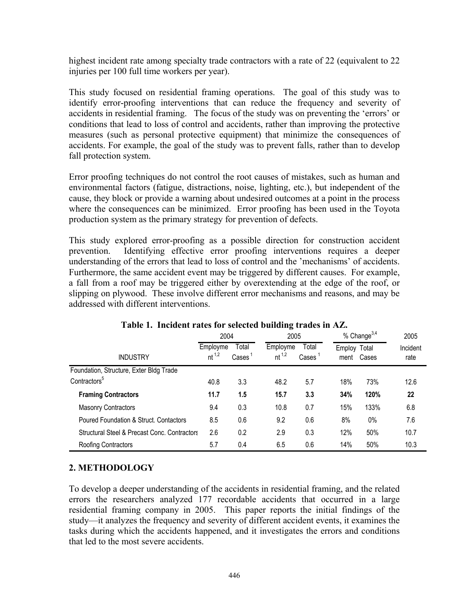highest incident rate among specialty trade contractors with a rate of 22 (equivalent to 22 injuries per 100 full time workers per year).

This study focused on residential framing operations. The goal of this study was to identify error-proofing interventions that can reduce the frequency and severity of accidents in residential framing. The focus of the study was on preventing the 'errors' or conditions that lead to loss of control and accidents, rather than improving the protective measures (such as personal protective equipment) that minimize the consequences of accidents. For example, the goal of the study was to prevent falls, rather than to develop fall protection system.

Error proofing techniques do not control the root causes of mistakes, such as human and environmental factors (fatigue, distractions, noise, lighting, etc.), but independent of the cause, they block or provide a warning about undesired outcomes at a point in the process where the consequences can be minimized. Error proofing has been used in the Toyota production system as the primary strategy for prevention of defects.

This study explored error-proofing as a possible direction for construction accident prevention. Identifying effective error proofing interventions requires a deeper understanding of the errors that lead to loss of control and the 'mechanisms' of accidents. Furthermore, the same accident event may be triggered by different causes. For example, a fall from a roof may be triggered either by overextending at the edge of the roof, or slipping on plywood. These involve different error mechanisms and reasons, and may be addressed with different interventions.

|                                              | 2004                   |                | 2005                   |                        | % Change $3,4$       | 2005  |                  |
|----------------------------------------------|------------------------|----------------|------------------------|------------------------|----------------------|-------|------------------|
| <b>INDUSTRY</b>                              | Employme<br>$nt^{1,2}$ | Total<br>Cases | Employme<br>$nt^{1,2}$ | Total<br>$\text{Case}$ | Employ Total<br>ment | Cases | Incident<br>rate |
| Foundation, Structure, Exter Bldg Trade      |                        |                |                        |                        |                      |       |                  |
| Contractors <sup>5</sup>                     | 40.8                   | 3.3            | 48.2                   | 5.7                    | 18%                  | 73%   | 12.6             |
| <b>Framing Contractors</b>                   | 11.7                   | 1.5            | 15.7                   | 3.3                    | 34%                  | 120%  | 22               |
| <b>Masonry Contractors</b>                   | 9.4                    | 0.3            | 10.8                   | 0.7                    | 15%                  | 133%  | 6.8              |
| Poured Foundation & Struct. Contactors       | 8.5                    | 0.6            | 9.2                    | 0.6                    | 8%                   | $0\%$ | 7.6              |
| Structural Steel & Precast Conc. Contractors | 2.6                    | 0.2            | 2.9                    | 0.3                    | 12%                  | 50%   | 10.7             |
| Roofing Contractors                          | 5.7                    | 0.4            | 6.5                    | 0.6                    | 14%                  | 50%   | 10.3             |

# **Table 1. Incident rates for selected building trades in AZ.**

# **2. METHODOLOGY**

To develop a deeper understanding of the accidents in residential framing, and the related errors the researchers analyzed 177 recordable accidents that occurred in a large residential framing company in 2005. This paper reports the initial findings of the study—it analyzes the frequency and severity of different accident events, it examines the tasks during which the accidents happened, and it investigates the errors and conditions that led to the most severe accidents.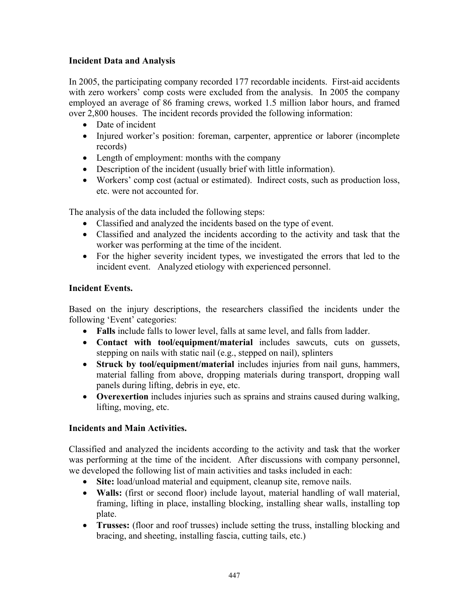#### **Incident Data and Analysis**

In 2005, the participating company recorded 177 recordable incidents. First-aid accidents with zero workers' comp costs were excluded from the analysis. In 2005 the company employed an average of 86 framing crews, worked 1.5 million labor hours, and framed over 2,800 houses. The incident records provided the following information:

- Date of incident
- Injured worker's position: foreman, carpenter, apprentice or laborer (incomplete records)
- Length of employment: months with the company
- Description of the incident (usually brief with little information).
- Workers' comp cost (actual or estimated). Indirect costs, such as production loss, etc. were not accounted for.

The analysis of the data included the following steps:

- Classified and analyzed the incidents based on the type of event.
- Classified and analyzed the incidents according to the activity and task that the worker was performing at the time of the incident.
- For the higher severity incident types, we investigated the errors that led to the incident event. Analyzed etiology with experienced personnel.

#### **Incident Events.**

Based on the injury descriptions, the researchers classified the incidents under the following 'Event' categories:

- **Falls** include falls to lower level, falls at same level, and falls from ladder.
- **Contact with tool/equipment/material** includes sawcuts, cuts on gussets, stepping on nails with static nail (e.g., stepped on nail), splinters
- **Struck by tool/equipment/material** includes injuries from nail guns, hammers, material falling from above, dropping materials during transport, dropping wall panels during lifting, debris in eye, etc.
- **Overexertion** includes injuries such as sprains and strains caused during walking, lifting, moving, etc.

## **Incidents and Main Activities.**

Classified and analyzed the incidents according to the activity and task that the worker was performing at the time of the incident. After discussions with company personnel, we developed the following list of main activities and tasks included in each:

- **Site:** load/unload material and equipment, cleanup site, remove nails.
- **Walls:** (first or second floor) include layout, material handling of wall material, framing, lifting in place, installing blocking, installing shear walls, installing top plate.
- **Trusses:** (floor and roof trusses) include setting the truss, installing blocking and bracing, and sheeting, installing fascia, cutting tails, etc.)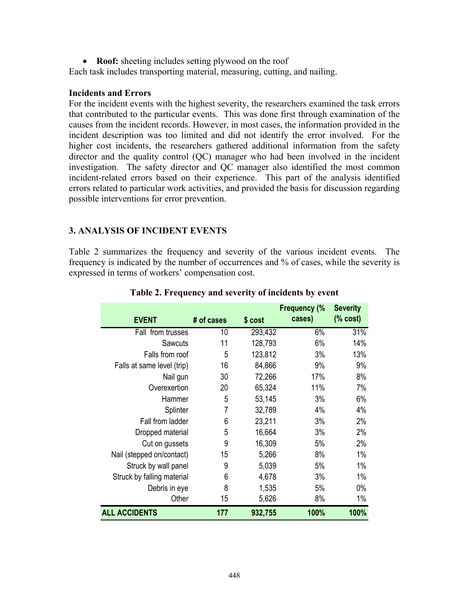• **Roof:** sheeting includes setting plywood on the roof

Each task includes transporting material, measuring, cutting, and nailing.

#### **Incidents and Errors**

For the incident events with the highest severity, the researchers examined the task errors that contributed to the particular events. This was done first through examination of the causes from the incident records. However, in most cases, the information provided in the incident description was too limited and did not identify the error involved. For the higher cost incidents, the researchers gathered additional information from the safety director and the quality control (QC) manager who had been involved in the incident investigation. The safety director and QC manager also identified the most common incident-related errors based on their experience. This part of the analysis identified errors related to particular work activities, and provided the basis for discussion regarding possible interventions for error prevention.

#### **3. ANALYSIS OF INCIDENT EVENTS**

Table 2 summarizes the frequency and severity of the various incident events. The frequency is indicated by the number of occurrences and % of cases, while the severity is expressed in terms of workers' compensation cost.

| <b>EVENT</b>               | # of cases | \$ cost | <b>Frequency (%</b><br>cases) | <b>Severity</b><br>% cost) |
|----------------------------|------------|---------|-------------------------------|----------------------------|
| Fall from trusses          | 10         | 293,432 | 6%                            | 31%                        |
| Sawcuts                    | 11         | 128,793 | 6%                            | 14%                        |
| Falls from roof            | 5          | 123,812 | 3%                            | 13%                        |
| Falls at same level (trip) | 16         | 84,866  | 9%                            | 9%                         |
| Nail gun                   | 30         | 72,266  | 17%                           | 8%                         |
| Overexertion               | 20         | 65,324  | 11%                           | 7%                         |
| Hammer                     | 5          | 53,145  | 3%                            | 6%                         |
| Splinter                   | 7          | 32,789  | 4%                            | 4%                         |
| Fall from ladder           | 6          | 23,211  | 3%                            | 2%                         |
| Dropped material           | 5          | 16,664  | 3%                            | 2%                         |
| Cut on gussets             | 9          | 16,309  | 5%                            | 2%                         |
| Nail (stepped on/contact)  | 15         | 5,266   | 8%                            | 1%                         |
| Struck by wall panel       | 9          | 5,039   | 5%                            | 1%                         |
| Struck by falling material | 6          | 4,678   | 3%                            | 1%                         |
| Debris in eye              | 8          | 1,535   | 5%                            | $0\%$                      |
| Other                      | 15         | 5,626   | 8%                            | 1%                         |
| <b>ALL ACCIDENTS</b>       | 177        | 932,755 | 100%                          | 100%                       |

**Table 2. Frequency and severity of incidents by event**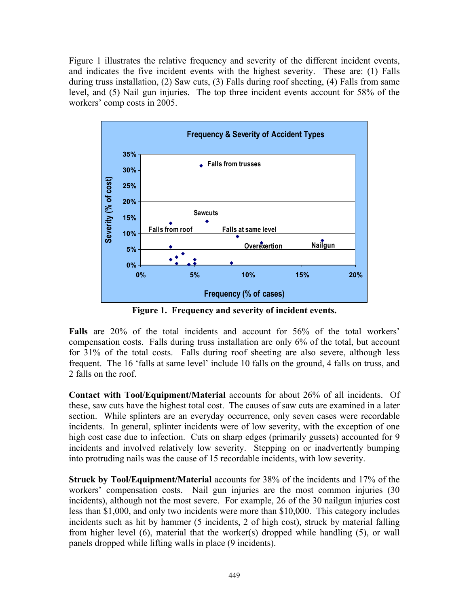Figure 1 illustrates the relative frequency and severity of the different incident events, and indicates the five incident events with the highest severity. These are: (1) Falls during truss installation, (2) Saw cuts, (3) Falls during roof sheeting, (4) Falls from same level, and (5) Nail gun injuries. The top three incident events account for 58% of the workers' comp costs in 2005.



**Figure 1. Frequency and severity of incident events.** 

**Falls** are 20% of the total incidents and account for 56% of the total workers' compensation costs. Falls during truss installation are only 6% of the total, but account for 31% of the total costs. Falls during roof sheeting are also severe, although less frequent. The 16 'falls at same level' include 10 falls on the ground, 4 falls on truss, and 2 falls on the roof.

**Contact with Tool/Equipment/Material** accounts for about 26% of all incidents. Of these, saw cuts have the highest total cost. The causes of saw cuts are examined in a later section. While splinters are an everyday occurrence, only seven cases were recordable incidents. In general, splinter incidents were of low severity, with the exception of one high cost case due to infection. Cuts on sharp edges (primarily gussets) accounted for 9 incidents and involved relatively low severity. Stepping on or inadvertently bumping into protruding nails was the cause of 15 recordable incidents, with low severity.

**Struck by Tool/Equipment/Material** accounts for 38% of the incidents and 17% of the workers' compensation costs. Nail gun injuries are the most common injuries (30 incidents), although not the most severe. For example, 26 of the 30 nailgun injuries cost less than \$1,000, and only two incidents were more than \$10,000. This category includes incidents such as hit by hammer (5 incidents, 2 of high cost), struck by material falling from higher level (6), material that the worker(s) dropped while handling (5), or wall panels dropped while lifting walls in place (9 incidents).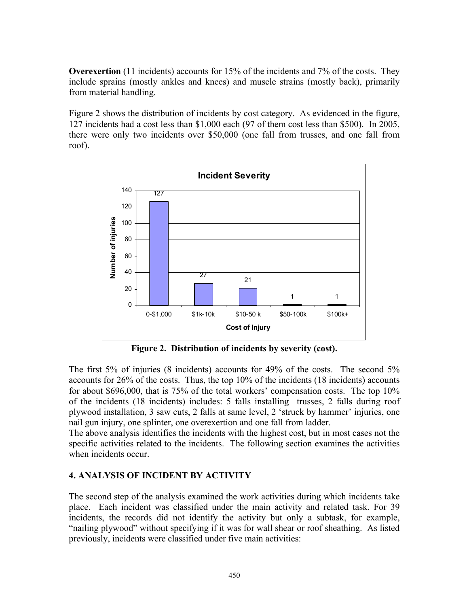**Overexertion** (11 incidents) accounts for 15% of the incidents and 7% of the costs. They include sprains (mostly ankles and knees) and muscle strains (mostly back), primarily from material handling.

Figure 2 shows the distribution of incidents by cost category. As evidenced in the figure, 127 incidents had a cost less than \$1,000 each (97 of them cost less than \$500). In 2005, there were only two incidents over \$50,000 (one fall from trusses, and one fall from roof).



**Figure 2. Distribution of incidents by severity (cost).** 

The first 5% of injuries (8 incidents) accounts for 49% of the costs. The second 5% accounts for 26% of the costs. Thus, the top 10% of the incidents (18 incidents) accounts for about \$696,000, that is 75% of the total workers' compensation costs. The top 10% of the incidents (18 incidents) includes: 5 falls installing trusses, 2 falls during roof plywood installation, 3 saw cuts, 2 falls at same level, 2 'struck by hammer' injuries, one nail gun injury, one splinter, one overexertion and one fall from ladder.

The above analysis identifies the incidents with the highest cost, but in most cases not the specific activities related to the incidents. The following section examines the activities when incidents occur.

#### **4. ANALYSIS OF INCIDENT BY ACTIVITY**

The second step of the analysis examined the work activities during which incidents take place. Each incident was classified under the main activity and related task. For 39 incidents, the records did not identify the activity but only a subtask, for example, "nailing plywood" without specifying if it was for wall shear or roof sheathing. As listed previously, incidents were classified under five main activities: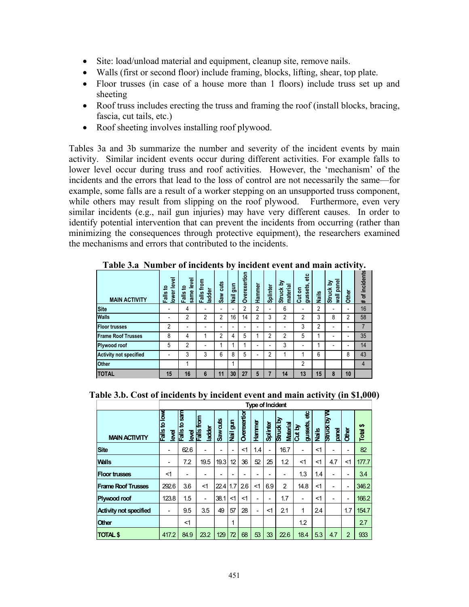- Site: load/unload material and equipment, cleanup site, remove nails.
- Walls (first or second floor) include framing, blocks, lifting, shear, top plate.
- Floor trusses (in case of a house more than 1 floors) include truss set up and sheeting
- Roof truss includes erecting the truss and framing the roof (install blocks, bracing, fascia, cut tails, etc.)
- Roof sheeting involves installing roof plywood.

Tables 3a and 3b summarize the number and severity of the incident events by main activity. Similar incident events occur during different activities. For example falls to lower level occur during truss and roof activities. However, the 'mechanism' of the incidents and the errors that lead to the loss of control are not necessarily the same—for example, some falls are a result of a worker stepping on an unsupported truss component, while others may result from slipping on the roof plywood. Furthermore, even very similar incidents (e.g., nail gun injuries) may have very different causes. In order to identify potential intervention that can prevent the incidents from occurring (rather than minimizing the consequences through protective equipment), the researchers examined the mechanisms and errors that contributed to the incidents.

| <b>MAIN ACTIVITY</b>          | level<br>요<br>lower<br>Fails | level<br>₽<br>same<br>Falls | from<br>ladder<br>Fails | cuts<br>Saw    | gun<br><b>Jail</b> | Overexertion | Hammer | Splinter       | ă<br>material<br>Struck | ៖<br>gussets<br>Cut on | Nails | wall panel<br>Σ<br><b>Struck</b> | Other                    | # of incidents |
|-------------------------------|------------------------------|-----------------------------|-------------------------|----------------|--------------------|--------------|--------|----------------|-------------------------|------------------------|-------|----------------------------------|--------------------------|----------------|
| <b>Site</b>                   |                              | 4                           |                         | ۰              |                    | 2            | 2      |                | 6                       | -                      | 2     | ٠                                | $\overline{\phantom{a}}$ | 16             |
| <b>Walls</b>                  |                              | $\overline{2}$              | 2                       | $\overline{2}$ | 16                 | 14           | c      | 3              | 2                       | 2                      | 3     | 8                                | $\overline{2}$           | 58             |
| <b>IFloor trusses</b>         | 2                            |                             |                         | ۰              |                    | ۰            |        | ۰              |                         | 3                      | 2     | ۰                                | $\overline{\phantom{a}}$ | 7              |
| <b>Frame Roof Trusses</b>     | 8                            | 4                           |                         | າ              | 4                  | 5            |        | っ              | 2                       | 5                      |       | ۰                                | $\overline{\phantom{a}}$ | 35             |
| Plywood roof                  | 5                            | $\overline{2}$              |                         |                |                    |              |        |                | 3                       | ۰                      |       | ۰                                | $\overline{\phantom{a}}$ | 14             |
| <b>Activity not specified</b> |                              | 3                           | 3                       | 6              | 8                  | 5            |        | $\overline{2}$ |                         |                        | 6     |                                  | 8                        | 43             |
| <b>Other</b>                  |                              |                             |                         |                |                    |              |        |                |                         | 2                      |       |                                  |                          | 4              |
| <b>TOTAL</b>                  | 15                           | 16                          | 6                       | 11             | 30                 | 27           | 5      | 7              | 14                      | 13                     | 15    | 8                                | 10                       |                |

**Table 3.a Number of incidents by incident event and main activity.** 

|  |  | Table 3.b. Cost of incidents by incident event and main activity (in \$1,000) |  |  |
|--|--|-------------------------------------------------------------------------------|--|--|
|--|--|-------------------------------------------------------------------------------|--|--|

|                               | <b>Type of Incident</b>                |                                             |                                |            |                             |              |        |          |                              |                         |       |                      |                |            |
|-------------------------------|----------------------------------------|---------------------------------------------|--------------------------------|------------|-----------------------------|--------------|--------|----------|------------------------------|-------------------------|-------|----------------------|----------------|------------|
| <b>MAIN ACTIVITY</b>          | to lowe<br>Falls <sup>:</sup><br>level | <b>Sam</b><br>ഉ<br><b>Falls</b><br><b>g</b> | from<br>ladder<br><b>Palls</b> | Saw cuts   | $\mathbf{g}$<br><b>Nail</b> | Overexertion | Hammer | Splinter | Struck by<br><b>Material</b> | 븅<br>gussets,<br>Cut by | Nails | Struck by W<br>panel | <b>Other</b>   | ↮<br>Total |
| <b>Site</b>                   |                                        | 62.6                                        |                                |            | ۰                           | <1           | 1.4    |          | 16.7                         |                         | $<$ 1 | ۰                    | ۰              | 82         |
| <b>Walls</b>                  |                                        | 7.2                                         | 19.5                           | 19.3       | 12                          | 36           | 52     | 25       | 1.2                          | $<$ 1                   | $<$ 1 | 4.7                  | <1             | 177.7      |
| <b>Floor trusses</b>          | <1                                     |                                             |                                |            |                             | ۰            |        |          |                              | 1.3                     | 1.4   | ۰                    | ۰              | 3.4        |
| <b>Frame Roof Trusses</b>     | 292.6                                  | 3.6                                         | <1                             | $22.4$ 1.7 |                             | 26           | $<$ 1  | 6.9      | $\overline{2}$               | 14.8                    | $<$ 1 | ۰                    | ۰              | 346.2      |
| Plywood roof                  | 123.8                                  | 1.5                                         | ۰                              | 38.1       | $<$ 1                       | $<$ 1        | ۰      | ۰        | 1.7                          | ۰                       | $<$ 1 | ۰                    | ۰              | 166.2      |
| <b>Activity not specified</b> |                                        | 9.5                                         | 3.5                            | 49         | 57                          | 28           | ۰      | <1       | 2.1                          | 1                       | 24    |                      | 1.7            | 154.7      |
| Other                         |                                        | $<$ 1                                       |                                |            | 1                           |              |        |          |                              | 1.2                     |       |                      |                | 2.7        |
| <b>TOTAL \$</b>               | 417.2                                  | 84.9                                        | 23.2                           | 129        | 72                          | 68           | 53     | 33       | 22.6                         | 18.4                    | 5.3   | 4.7                  | $\overline{2}$ | 933        |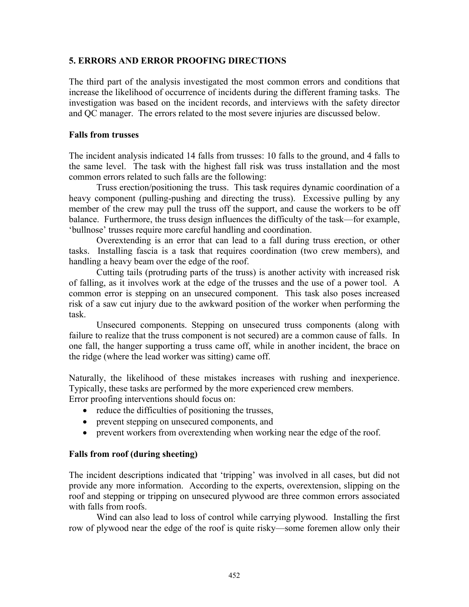#### **5. ERRORS AND ERROR PROOFING DIRECTIONS**

The third part of the analysis investigated the most common errors and conditions that increase the likelihood of occurrence of incidents during the different framing tasks. The investigation was based on the incident records, and interviews with the safety director and QC manager. The errors related to the most severe injuries are discussed below.

#### **Falls from trusses**

The incident analysis indicated 14 falls from trusses: 10 falls to the ground, and 4 falls to the same level. The task with the highest fall risk was truss installation and the most common errors related to such falls are the following:

Truss erection/positioning the truss. This task requires dynamic coordination of a heavy component (pulling-pushing and directing the truss). Excessive pulling by any member of the crew may pull the truss off the support, and cause the workers to be off balance. Furthermore, the truss design influences the difficulty of the task—for example, 'bullnose' trusses require more careful handling and coordination.

Overextending is an error that can lead to a fall during truss erection, or other tasks. Installing fascia is a task that requires coordination (two crew members), and handling a heavy beam over the edge of the roof.

Cutting tails (protruding parts of the truss) is another activity with increased risk of falling, as it involves work at the edge of the trusses and the use of a power tool. A common error is stepping on an unsecured component. This task also poses increased risk of a saw cut injury due to the awkward position of the worker when performing the task.

Unsecured components. Stepping on unsecured truss components (along with failure to realize that the truss component is not secured) are a common cause of falls. In one fall, the hanger supporting a truss came off, while in another incident, the brace on the ridge (where the lead worker was sitting) came off.

Naturally, the likelihood of these mistakes increases with rushing and inexperience. Typically, these tasks are performed by the more experienced crew members. Error proofing interventions should focus on:

- reduce the difficulties of positioning the trusses,
- prevent stepping on unsecured components, and
- prevent workers from overextending when working near the edge of the roof.

#### **Falls from roof (during sheeting)**

The incident descriptions indicated that 'tripping' was involved in all cases, but did not provide any more information. According to the experts, overextension, slipping on the roof and stepping or tripping on unsecured plywood are three common errors associated with falls from roofs.

Wind can also lead to loss of control while carrying plywood. Installing the first row of plywood near the edge of the roof is quite risky—some foremen allow only their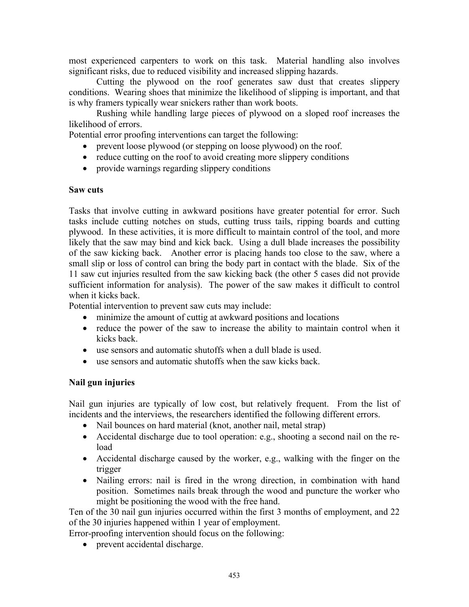most experienced carpenters to work on this task. Material handling also involves significant risks, due to reduced visibility and increased slipping hazards.

Cutting the plywood on the roof generates saw dust that creates slippery conditions. Wearing shoes that minimize the likelihood of slipping is important, and that is why framers typically wear snickers rather than work boots.

Rushing while handling large pieces of plywood on a sloped roof increases the likelihood of errors.

Potential error proofing interventions can target the following:

- prevent loose plywood (or stepping on loose plywood) on the roof.
- reduce cutting on the roof to avoid creating more slippery conditions
- provide warnings regarding slippery conditions

#### **Saw cuts**

Tasks that involve cutting in awkward positions have greater potential for error. Such tasks include cutting notches on studs, cutting truss tails, ripping boards and cutting plywood. In these activities, it is more difficult to maintain control of the tool, and more likely that the saw may bind and kick back. Using a dull blade increases the possibility of the saw kicking back. Another error is placing hands too close to the saw, where a small slip or loss of control can bring the body part in contact with the blade. Six of the 11 saw cut injuries resulted from the saw kicking back (the other 5 cases did not provide sufficient information for analysis). The power of the saw makes it difficult to control when it kicks back.

Potential intervention to prevent saw cuts may include:

- minimize the amount of cuttig at awkward positions and locations
- reduce the power of the saw to increase the ability to maintain control when it kicks back.
- use sensors and automatic shutoffs when a dull blade is used.
- use sensors and automatic shutoffs when the saw kicks back.

#### **Nail gun injuries**

Nail gun injuries are typically of low cost, but relatively frequent. From the list of incidents and the interviews, the researchers identified the following different errors.

- Nail bounces on hard material (knot, another nail, metal strap)
- Accidental discharge due to tool operation: e.g., shooting a second nail on the reload
- Accidental discharge caused by the worker, e.g., walking with the finger on the trigger
- Nailing errors: nail is fired in the wrong direction, in combination with hand position. Sometimes nails break through the wood and puncture the worker who might be positioning the wood with the free hand.

Ten of the 30 nail gun injuries occurred within the first 3 months of employment, and 22 of the 30 injuries happened within 1 year of employment.

Error-proofing intervention should focus on the following:

• prevent accidental discharge.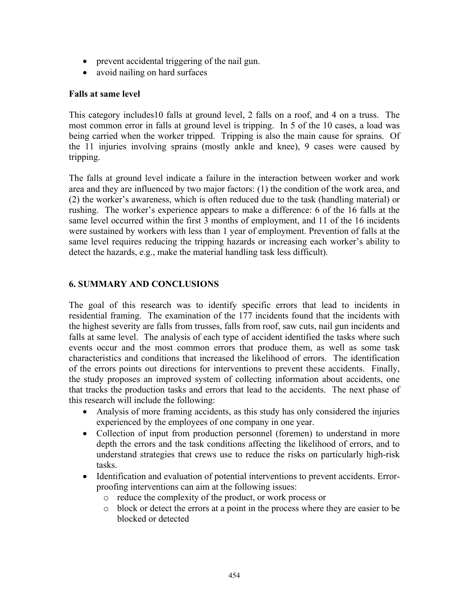- prevent accidental triggering of the nail gun.
- avoid nailing on hard surfaces

#### **Falls at same level**

This category includes10 falls at ground level, 2 falls on a roof, and 4 on a truss. The most common error in falls at ground level is tripping. In 5 of the 10 cases, a load was being carried when the worker tripped. Tripping is also the main cause for sprains. Of the 11 injuries involving sprains (mostly ankle and knee), 9 cases were caused by tripping.

The falls at ground level indicate a failure in the interaction between worker and work area and they are influenced by two major factors: (1) the condition of the work area, and (2) the worker's awareness, which is often reduced due to the task (handling material) or rushing. The worker's experience appears to make a difference: 6 of the 16 falls at the same level occurred within the first 3 months of employment, and 11 of the 16 incidents were sustained by workers with less than 1 year of employment. Prevention of falls at the same level requires reducing the tripping hazards or increasing each worker's ability to detect the hazards, e.g., make the material handling task less difficult).

#### **6. SUMMARY AND CONCLUSIONS**

The goal of this research was to identify specific errors that lead to incidents in residential framing. The examination of the 177 incidents found that the incidents with the highest severity are falls from trusses, falls from roof, saw cuts, nail gun incidents and falls at same level. The analysis of each type of accident identified the tasks where such events occur and the most common errors that produce them, as well as some task characteristics and conditions that increased the likelihood of errors. The identification of the errors points out directions for interventions to prevent these accidents. Finally, the study proposes an improved system of collecting information about accidents, one that tracks the production tasks and errors that lead to the accidents. The next phase of this research will include the following:

- Analysis of more framing accidents, as this study has only considered the injuries experienced by the employees of one company in one year.
- Collection of input from production personnel (foremen) to understand in more depth the errors and the task conditions affecting the likelihood of errors, and to understand strategies that crews use to reduce the risks on particularly high-risk tasks.
- Identification and evaluation of potential interventions to prevent accidents. Errorproofing interventions can aim at the following issues:
	- o reduce the complexity of the product, or work process or
	- o block or detect the errors at a point in the process where they are easier to be blocked or detected